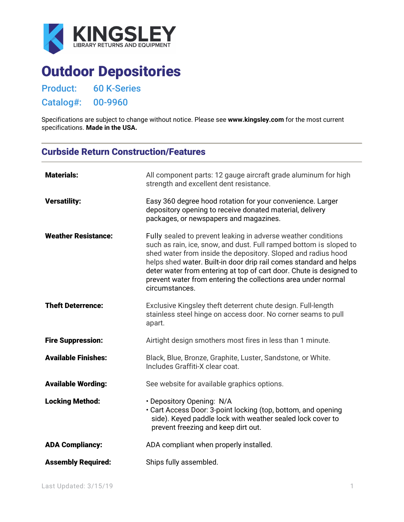

# Outdoor Depositories

Product: 60 K-Series

Catalog#: 00-9960

Specifications are subject to change without notice. Please see **[www.kingsley.com](http://www.kingsley.com/)** for the most current specifications. **Made in the USA.**

## Curbside Return Construction/Features

| <b>Materials:</b>          | All component parts: 12 gauge aircraft grade aluminum for high<br>strength and excellent dent resistance.                                                                                                                                                                                                                                                                                                                            |
|----------------------------|--------------------------------------------------------------------------------------------------------------------------------------------------------------------------------------------------------------------------------------------------------------------------------------------------------------------------------------------------------------------------------------------------------------------------------------|
| <b>Versatility:</b>        | Easy 360 degree hood rotation for your convenience. Larger<br>depository opening to receive donated material, delivery<br>packages, or newspapers and magazines.                                                                                                                                                                                                                                                                     |
| <b>Weather Resistance:</b> | Fully sealed to prevent leaking in adverse weather conditions<br>such as rain, ice, snow, and dust. Full ramped bottom is sloped to<br>shed water from inside the depository. Sloped and radius hood<br>helps shed water. Built-in door drip rail comes standard and helps<br>deter water from entering at top of cart door. Chute is designed to<br>prevent water from entering the collections area under normal<br>circumstances. |
| <b>Theft Deterrence:</b>   | Exclusive Kingsley theft deterrent chute design. Full-length<br>stainless steel hinge on access door. No corner seams to pull<br>apart.                                                                                                                                                                                                                                                                                              |
| <b>Fire Suppression:</b>   | Airtight design smothers most fires in less than 1 minute.                                                                                                                                                                                                                                                                                                                                                                           |
| <b>Available Finishes:</b> | Black, Blue, Bronze, Graphite, Luster, Sandstone, or White.<br>Includes Graffiti-X clear coat.                                                                                                                                                                                                                                                                                                                                       |
| <b>Available Wording:</b>  | See website for available graphics options.                                                                                                                                                                                                                                                                                                                                                                                          |
| <b>Locking Method:</b>     | · Depository Opening: N/A<br>• Cart Access Door: 3-point locking (top, bottom, and opening<br>side). Keyed paddle lock with weather sealed lock cover to<br>prevent freezing and keep dirt out.                                                                                                                                                                                                                                      |
| <b>ADA Compliancy:</b>     | ADA compliant when properly installed.                                                                                                                                                                                                                                                                                                                                                                                               |
| <b>Assembly Required:</b>  | Ships fully assembled.                                                                                                                                                                                                                                                                                                                                                                                                               |